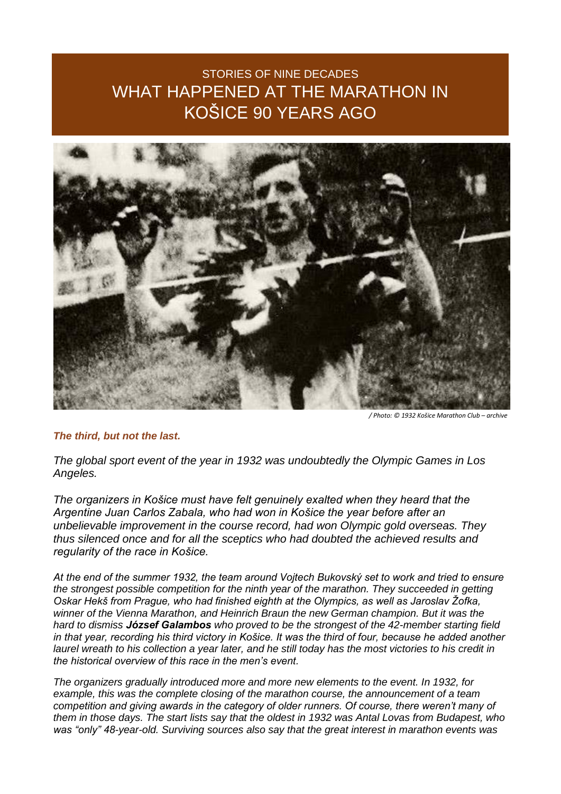## STORIES OF NINE DECADES WHAT HAPPENED AT THE MARATHON IN KOŠICE 90 YEARS AGO



*/ Photo: © 1932 Košice Marathon Club – archive*

## *The third, but not the last.*

*The global sport event of the year in 1932 was undoubtedly the Olympic Games in Los Angeles.*

*The organizers in Košice must have felt genuinely exalted when they heard that the Argentine Juan Carlos Zabala, who had won in Košice the year before after an unbelievable improvement in the course record, had won Olympic gold overseas. They thus silenced once and for all the sceptics who had doubted the achieved results and regularity of the race in Košice.*

*At the end of the summer 1932, the team around Vojtech Bukovský set to work and tried to ensure the strongest possible competition for the ninth year of the marathon. They succeeded in getting Oskar Hekš from Prague, who had finished eighth at the Olympics, as well as Jaroslav Žofka, winner of the Vienna Marathon, and Heinrich Braun the new German champion. But it was the hard to dismiss József Galambos who proved to be the strongest of the 42-member starting field in that year, recording his third victory in Košice. It was the third of four, because he added another laurel wreath to his collection a year later, and he still today has the most victories to his credit in the historical overview of this race in the men's event.*

*The organizers gradually introduced more and more new elements to the event. In 1932, for example, this was the complete closing of the marathon course, the announcement of a team competition and giving awards in the category of older runners. Of course, there weren't many of them in those days. The start lists say that the oldest in 1932 was Antal Lovas from Budapest, who was "only" 48-year-old. Surviving sources also say that the great interest in marathon events was*